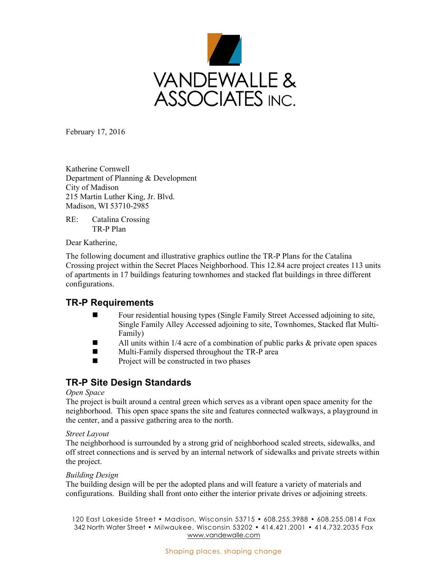

February 17, 2016

Katherine Cornwell Department of Planning & Development City of Madison 215 Martin Luther King, Jr. Blvd. Madison, WI 53710-2985

RE: Catalina Crossing TR-P Plan

Dear Katherine,

The following document and illustrative graphics outline the TR-P Plans for the Catalina Crossing project within the Secret Places Neighborhood. This 12.84 acre project creates 113 units of apartments in 17 buildings featuring townhomes and stacked flat buildings in three different configurations.

## **TR-P Requirements**

- Four residential housing types (Single Family Street Accessed adjoining to site, Single Family Alley Accessed adjoining to site, Townhomes, Stacked flat Multi- Family)
- $\blacksquare$  All units within 1/4 acre of a combination of public parks & private open spaces
- Multi-Family dispersed throughout the TR-P area
- $\blacksquare$  Project will be constructed in two phases

# **TR-P Site Design Standards**

#### *Open Space*

The project is built around a central green which serves as a vibrant open space amenity for the neighborhood. This open space spans the site and features connected walkways, a playground in the center, and a passive gathering area to the north.

#### *Street Layout*

The neighborhood is surrounded by a strong grid of neighborhood scaled streets, sidewalks, and off street connections and is served by an internal network of sidewalks and private streets within the project.

#### *Building Design*

The building design will be per the adopted plans and will feature a variety of materials and configurations. Building shall front onto either the interior private drives or adjoining streets.

120 East Lakeside Street • Madison, Wisconsin 53715 • 608.255.3988 • 608.255.0814 Fax 342 North Water Street • Milwaukee, Wisconsin 53202 • 414.421.2001 • 414.732.2035 Fax www.vandewalle.com